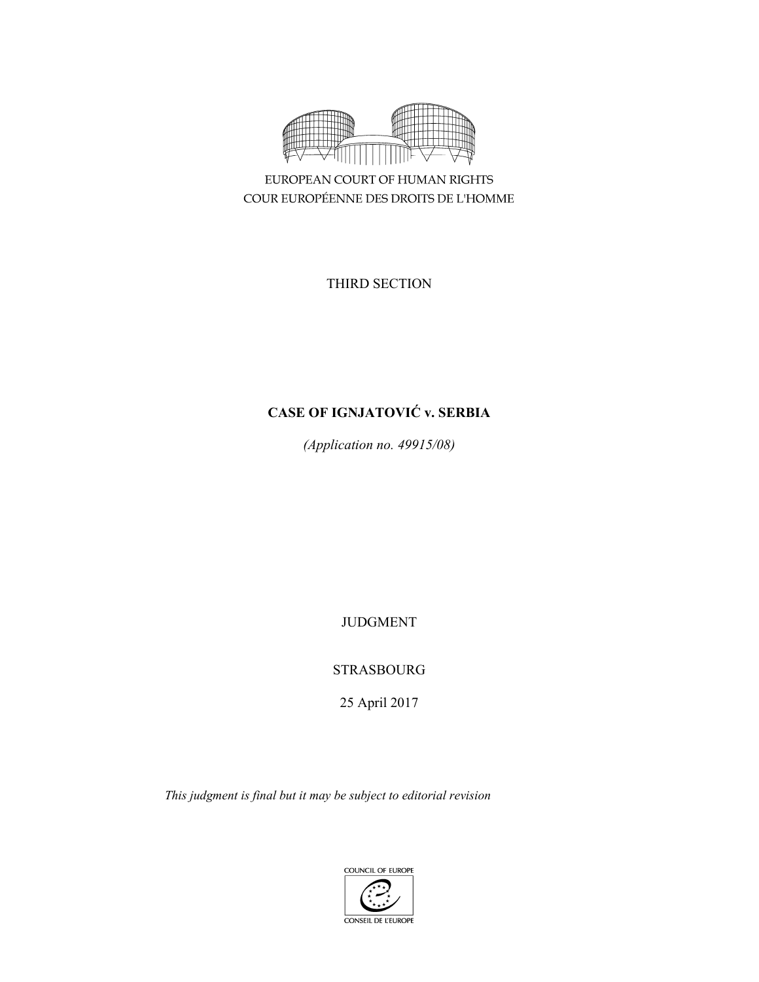

EUROPEAN COURT OF HUMAN RIGHTS COUR EUROPÉENNE DES DROITS DE L'HOMME

THIRD SECTION

# **CASE OF IGNJATOVIĆ v. SERBIA**

*(Application no. 49915/08)* 

JUDGMENT

STRASBOURG

25 April 2017

*This judgment is final but it may be subject to editorial revision*

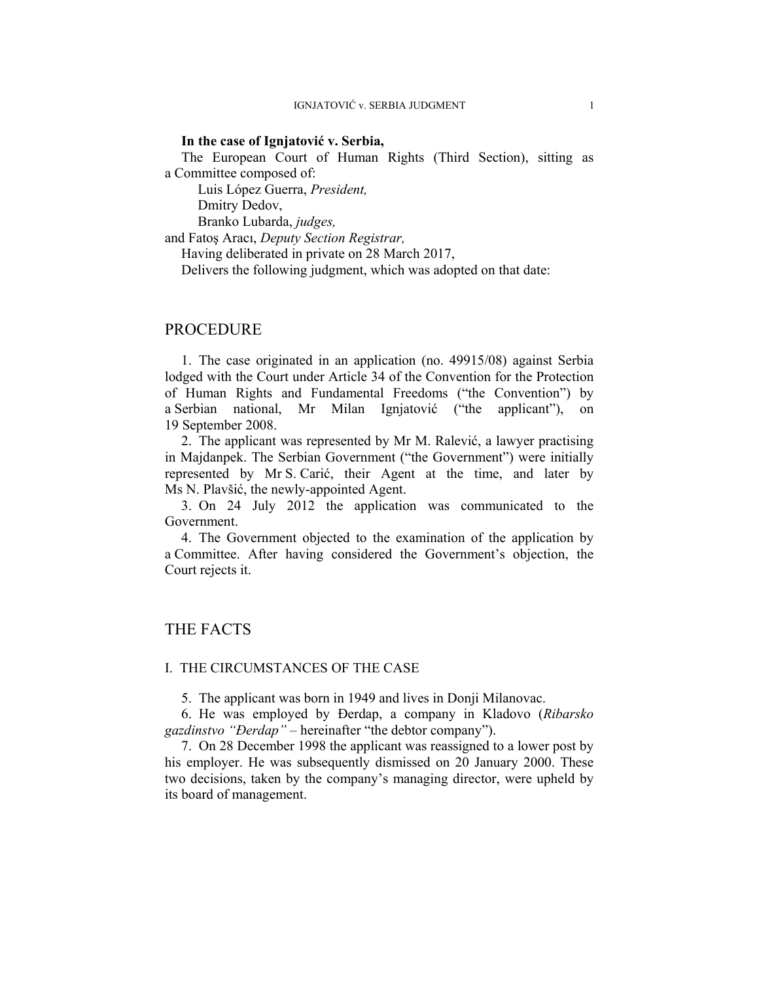# **In the case of Ignjatović v. Serbia,**

The European Court of Human Rights (Third Section), sitting as a Committee composed of:

 Luis López Guerra, *President,*  Dmitry Dedov,

Branko Lubarda, *judges,*

and Fatoş Aracı, *Deputy Section Registrar,*

Having deliberated in private on 28 March 2017,

Delivers the following judgment, which was adopted on that date:

# PROCEDURE

1. The case originated in an application (no. 49915/08) against Serbia lodged with the Court under Article 34 of the Convention for the Protection of Human Rights and Fundamental Freedoms ("the Convention") by a Serbian national, Mr Milan Ignjatović ("the applicant"), on 19 September 2008.

2. The applicant was represented by Mr M. Ralević, a lawyer practising in Majdanpek. The Serbian Government ("the Government") were initially represented by Mr S. Carić, their Agent at the time, and later by Ms N. Plavšić, the newly-appointed Agent.

3. On 24 July 2012 the application was communicated to the Government.

4. The Government objected to the examination of the application by a Committee. After having considered the Government's objection, the Court rejects it.

# THE FACTS

#### I. THE CIRCUMSTANCES OF THE CASE

5. The applicant was born in 1949 and lives in Donji Milanovac.

6. He was employed by Ðerdap, a company in Kladovo (*Ribarsko gazdinstvo "Ðerdap" –* hereinafter "the debtor company").

7. On 28 December 1998 the applicant was reassigned to a lower post by his employer. He was subsequently dismissed on 20 January 2000. These two decisions, taken by the company's managing director, were upheld by its board of management.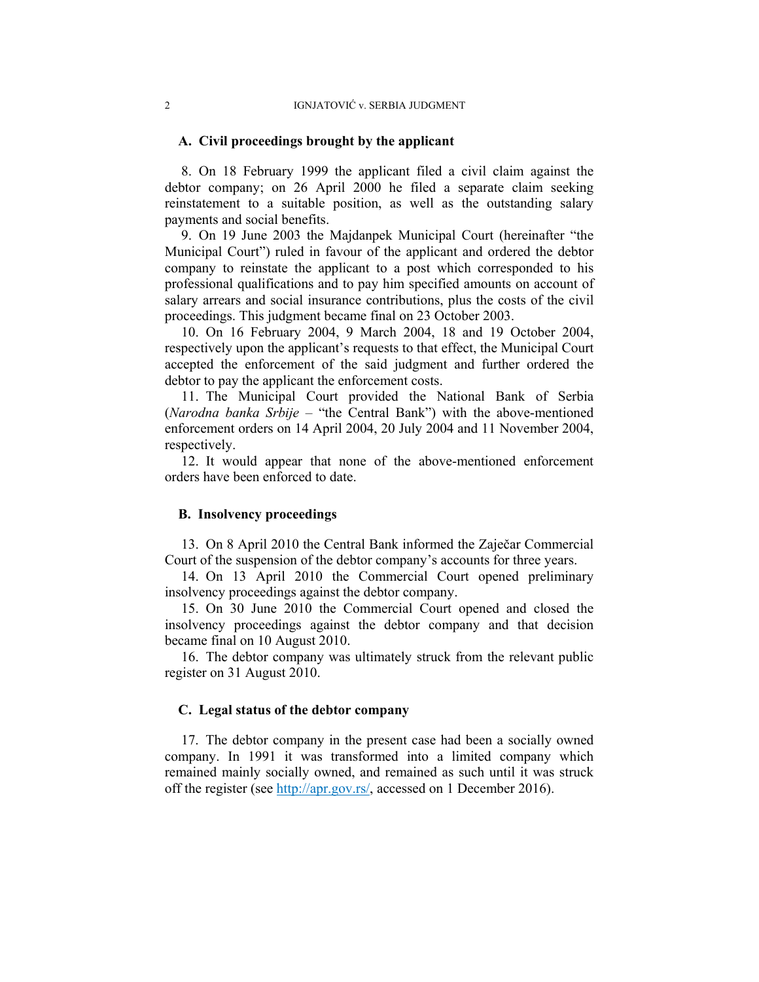### **A. Civil proceedings brought by the applicant**

8. On 18 February 1999 the applicant filed a civil claim against the debtor company; on 26 April 2000 he filed a separate claim seeking reinstatement to a suitable position, as well as the outstanding salary payments and social benefits.

9. On 19 June 2003 the Majdanpek Municipal Court (hereinafter "the Municipal Court") ruled in favour of the applicant and ordered the debtor company to reinstate the applicant to a post which corresponded to his professional qualifications and to pay him specified amounts on account of salary arrears and social insurance contributions, plus the costs of the civil proceedings. This judgment became final on 23 October 2003.

10. On 16 February 2004, 9 March 2004, 18 and 19 October 2004, respectively upon the applicant's requests to that effect, the Municipal Court accepted the enforcement of the said judgment and further ordered the debtor to pay the applicant the enforcement costs.

11. The Municipal Court provided the National Bank of Serbia (*Narodna banka Srbije* – "the Central Bank") with the above-mentioned enforcement orders on 14 April 2004, 20 July 2004 and 11 November 2004, respectively.

12. It would appear that none of the above-mentioned enforcement orders have been enforced to date.

#### **B. Insolvency proceedings**

13. On 8 April 2010 the Central Bank informed the Zaječar Commercial Court of the suspension of the debtor company's accounts for three years.

14. On 13 April 2010 the Commercial Court opened preliminary insolvency proceedings against the debtor company.

15. On 30 June 2010 the Commercial Court opened and closed the insolvency proceedings against the debtor company and that decision became final on 10 August 2010.

16. The debtor company was ultimately struck from the relevant public register on 31 August 2010.

# **C. Legal status of the debtor company**

17. The debtor company in the present case had been a socially owned company. In 1991 it was transformed into a limited company which remained mainly socially owned, and remained as such until it was struck off the register (see http://apr.gov.rs/, accessed on 1 December 2016).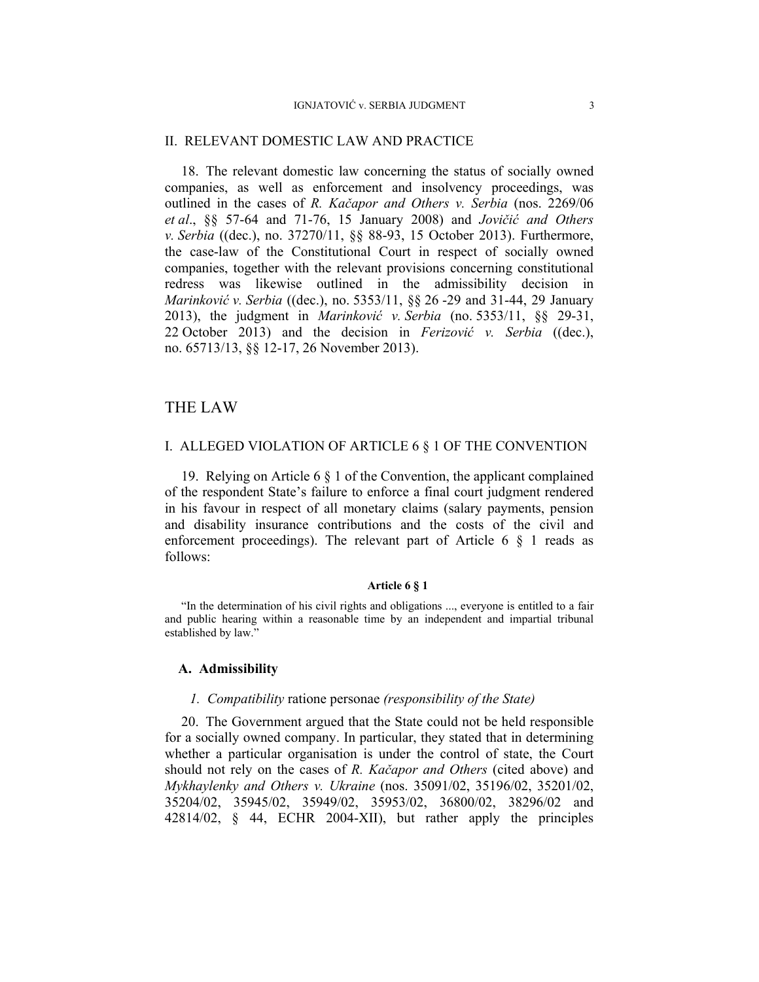#### II. RELEVANT DOMESTIC LAW AND PRACTICE

18. The relevant domestic law concerning the status of socially owned companies, as well as enforcement and insolvency proceedings, was outlined in the cases of *R. Kačapor and Others v. Serbia* (nos. 2269/06 *et al*., §§ 57-64 and 71-76, 15 January 2008) and *Jovičić and Others v. Serbia* ((dec.), no. 37270/11, §§ 88-93, 15 October 2013). Furthermore, the case-law of the Constitutional Court in respect of socially owned companies, together with the relevant provisions concerning constitutional redress was likewise outlined in the admissibility decision in *Marinković v. Serbia* ((dec.), no. 5353/11, §§ 26 -29 and 31-44, 29 January 2013), the judgment in *Marinković v. Serbia* (no. 5353/11, §§ 29-31, 22 October 2013) and the decision in *Ferizović v. Serbia* ((dec.), no. 65713/13, §§ 12-17, 26 November 2013).

# THE LAW

#### I. ALLEGED VIOLATION OF ARTICLE 6 § 1 OF THE CONVENTION

19. Relying on Article 6 § 1 of the Convention, the applicant complained of the respondent State's failure to enforce a final court judgment rendered in his favour in respect of all monetary claims (salary payments, pension and disability insurance contributions and the costs of the civil and enforcement proceedings). The relevant part of Article  $6 \S 1$  reads as follows:

# **Article 6 § 1**

"In the determination of his civil rights and obligations ..., everyone is entitled to a fair and public hearing within a reasonable time by an independent and impartial tribunal established by law."

# **A. Admissibility**

#### *1. Compatibility* ratione personae *(responsibility of the State)*

20. The Government argued that the State could not be held responsible for a socially owned company. In particular, they stated that in determining whether a particular organisation is under the control of state, the Court should not rely on the cases of *R. Kačapor and Others* (cited above) and *Mykhaylenky and Others v. Ukraine* (nos. 35091/02, 35196/02, 35201/02, 35204/02, 35945/02, 35949/02, 35953/02, 36800/02, 38296/02 and 42814/02, § 44, ECHR 2004-XII), but rather apply the principles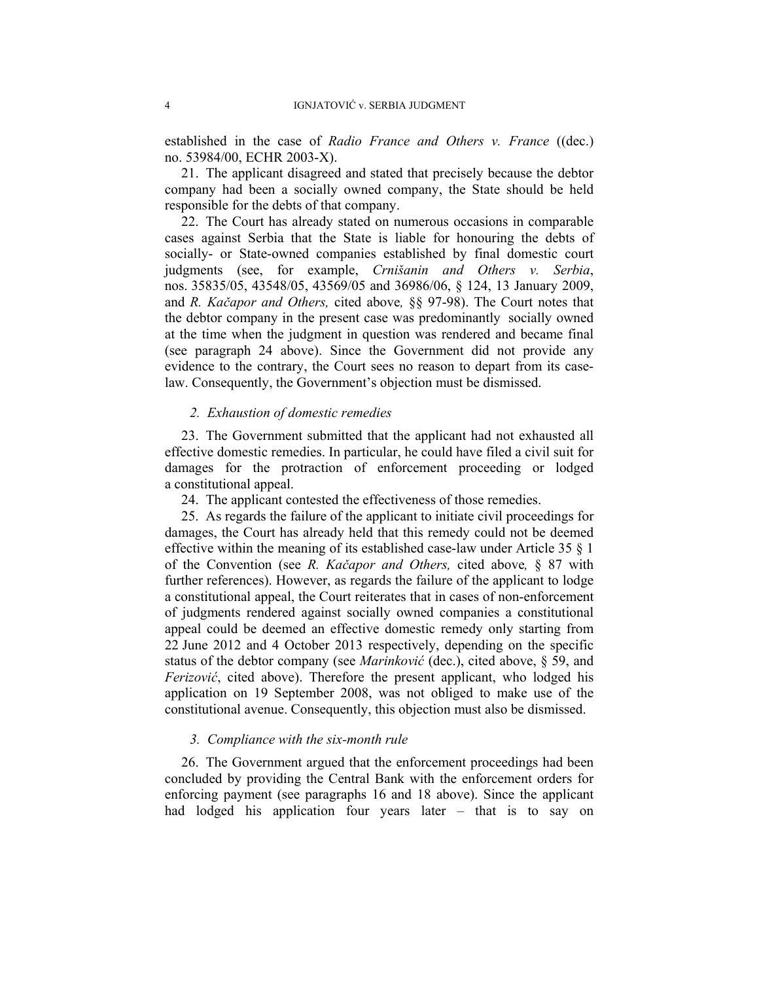established in the case of *Radio France and Others v. France* ((dec.) no. 53984/00, ECHR 2003-X).

21. The applicant disagreed and stated that precisely because the debtor company had been a socially owned company, the State should be held responsible for the debts of that company.

22. The Court has already stated on numerous occasions in comparable cases against Serbia that the State is liable for honouring the debts of socially- or State-owned companies established by final domestic court judgments (see, for example, *Crnišanin and Others v. Serbia*, nos. 35835/05, 43548/05, 43569/05 and 36986/06, § 124, 13 January 2009, and *R. Kačapor and Others,* cited above*,* §§ 97-98). The Court notes that the debtor company in the present case was predominantly socially owned at the time when the judgment in question was rendered and became final (see paragraph 24 above). Since the Government did not provide any evidence to the contrary, the Court sees no reason to depart from its caselaw. Consequently, the Government's objection must be dismissed.

# *2. Exhaustion of domestic remedies*

23. The Government submitted that the applicant had not exhausted all effective domestic remedies. In particular, he could have filed a civil suit for damages for the protraction of enforcement proceeding or lodged a constitutional appeal.

24. The applicant contested the effectiveness of those remedies.

25. As regards the failure of the applicant to initiate civil proceedings for damages, the Court has already held that this remedy could not be deemed effective within the meaning of its established case-law under Article 35 § 1 of the Convention (see *R. Kačapor and Others,* cited above*,* § 87 with further references). However, as regards the failure of the applicant to lodge a constitutional appeal, the Court reiterates that in cases of non-enforcement of judgments rendered against socially owned companies a constitutional appeal could be deemed an effective domestic remedy only starting from 22 June 2012 and 4 October 2013 respectively, depending on the specific status of the debtor company (see *Marinković* (dec.), cited above, § 59, and *Ferizović*, cited above). Therefore the present applicant, who lodged his application on 19 September 2008, was not obliged to make use of the constitutional avenue. Consequently, this objection must also be dismissed.

#### *3. Compliance with the six-month rule*

26. The Government argued that the enforcement proceedings had been concluded by providing the Central Bank with the enforcement orders for enforcing payment (see paragraphs 16 and 18 above). Since the applicant had lodged his application four years later – that is to say on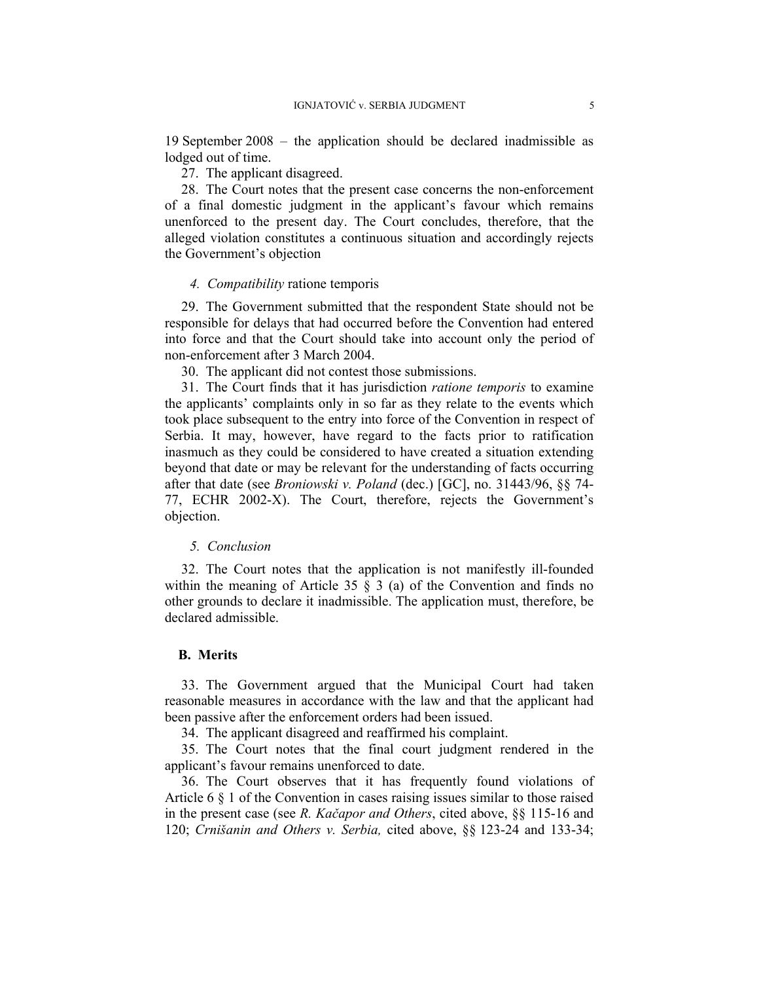19 September 2008 – the application should be declared inadmissible as lodged out of time.

27. The applicant disagreed.

28. The Court notes that the present case concerns the non-enforcement of a final domestic judgment in the applicant's favour which remains unenforced to the present day. The Court concludes, therefore, that the alleged violation constitutes a continuous situation and accordingly rejects the Government's objection

### *4. Compatibility* ratione temporis

29. The Government submitted that the respondent State should not be responsible for delays that had occurred before the Convention had entered into force and that the Court should take into account only the period of non-enforcement after 3 March 2004.

30. The applicant did not contest those submissions.

31. The Court finds that it has jurisdiction *ratione temporis* to examine the applicants' complaints only in so far as they relate to the events which took place subsequent to the entry into force of the Convention in respect of Serbia. It may, however, have regard to the facts prior to ratification inasmuch as they could be considered to have created a situation extending beyond that date or may be relevant for the understanding of facts occurring after that date (see *Broniowski v. Poland* (dec.) [GC], no. 31443/96, §§ 74- 77, ECHR 2002-X). The Court, therefore, rejects the Government's objection.

# *5. Conclusion*

32. The Court notes that the application is not manifestly ill-founded within the meaning of Article 35  $\S$  3 (a) of the Convention and finds no other grounds to declare it inadmissible. The application must, therefore, be declared admissible.

#### **B. Merits**

33. The Government argued that the Municipal Court had taken reasonable measures in accordance with the law and that the applicant had been passive after the enforcement orders had been issued.

34. The applicant disagreed and reaffirmed his complaint.

35. The Court notes that the final court judgment rendered in the applicant's favour remains unenforced to date.

36. The Court observes that it has frequently found violations of Article 6 § 1 of the Convention in cases raising issues similar to those raised in the present case (see *R. Kačapor and Others*, cited above, §§ 115-16 and 120; *Crnišanin and Others v. Serbia,* cited above, §§ 123-24 and 133-34;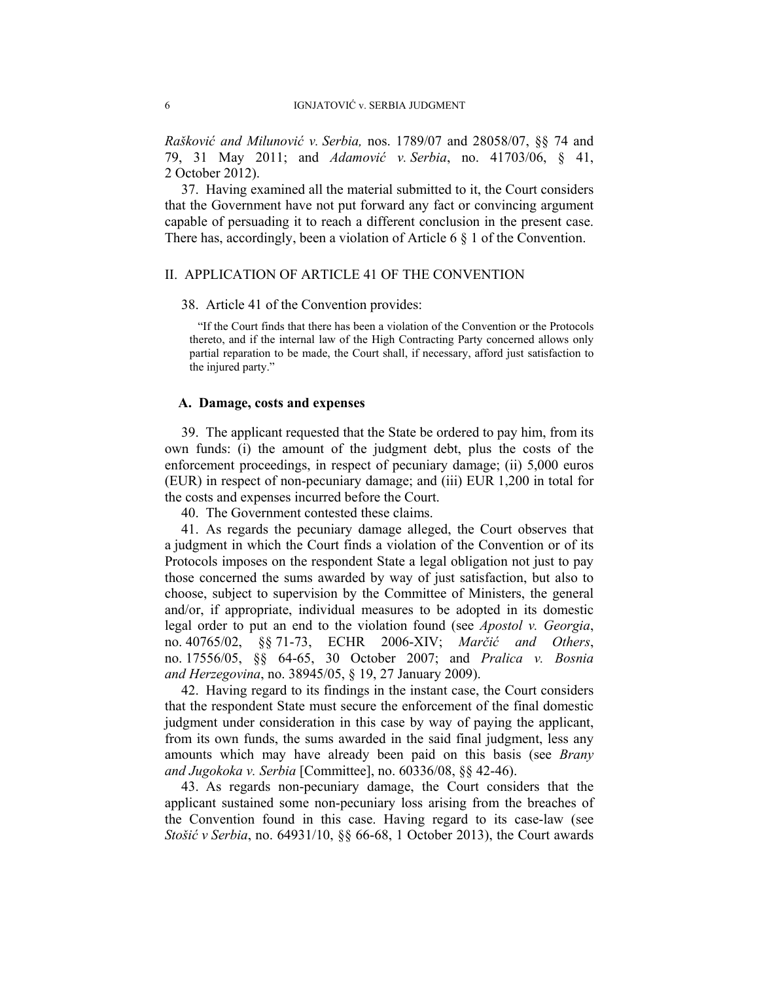*Rašković and Milunović v. Serbia,* nos. 1789/07 and 28058/07, §§ 74 and 79, 31 May 2011; and *Adamović v. Serbia*, no. 41703/06, § 41, 2 October 2012).

37. Having examined all the material submitted to it, the Court considers that the Government have not put forward any fact or convincing argument capable of persuading it to reach a different conclusion in the present case. There has, accordingly, been a violation of Article 6 § 1 of the Convention.

# II. APPLICATION OF ARTICLE 41 OF THE CONVENTION

#### 38. Article 41 of the Convention provides:

"If the Court finds that there has been a violation of the Convention or the Protocols thereto, and if the internal law of the High Contracting Party concerned allows only partial reparation to be made, the Court shall, if necessary, afford just satisfaction to the injured party."

# **A. Damage, costs and expenses**

39. The applicant requested that the State be ordered to pay him, from its own funds: (i) the amount of the judgment debt, plus the costs of the enforcement proceedings, in respect of pecuniary damage; (ii) 5,000 euros (EUR) in respect of non-pecuniary damage; and (iii) EUR 1,200 in total for the costs and expenses incurred before the Court.

40. The Government contested these claims.

41. As regards the pecuniary damage alleged, the Court observes that a judgment in which the Court finds a violation of the Convention or of its Protocols imposes on the respondent State a legal obligation not just to pay those concerned the sums awarded by way of just satisfaction, but also to choose, subject to supervision by the Committee of Ministers, the general and/or, if appropriate, individual measures to be adopted in its domestic legal order to put an end to the violation found (see *Apostol v. Georgia*, no. 40765/02, §§ 71-73, ECHR 2006-XIV; *Marčić and Others*, no. 17556/05, §§ 64-65, 30 October 2007; and *Pralica v. Bosnia and Herzegovina*, no. 38945/05, § 19, 27 January 2009).

42. Having regard to its findings in the instant case, the Court considers that the respondent State must secure the enforcement of the final domestic judgment under consideration in this case by way of paying the applicant, from its own funds, the sums awarded in the said final judgment, less any amounts which may have already been paid on this basis (see *Brany and Jugokoka v. Serbia* [Committee], no. 60336/08, §§ 42-46).

43. As regards non-pecuniary damage, the Court considers that the applicant sustained some non-pecuniary loss arising from the breaches of the Convention found in this case. Having regard to its case-law (see *Stošić v Serbia*, no. 64931/10, §§ 66-68, 1 October 2013), the Court awards